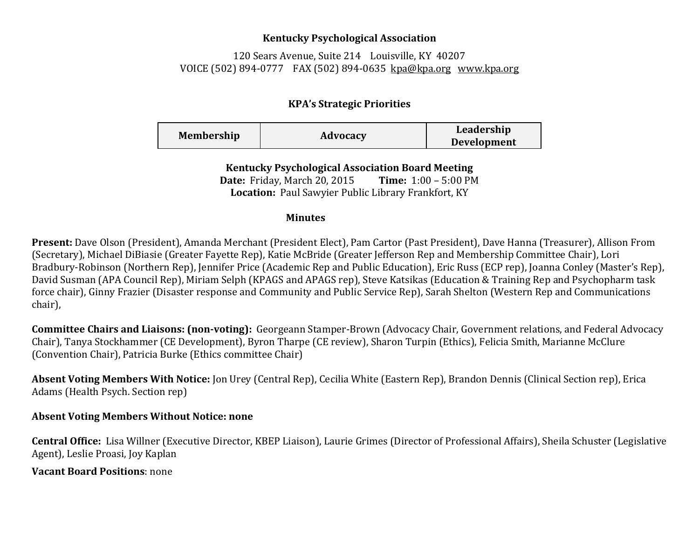## **Kentucky Psychological Association**

120 Sears Avenue, Suite 214 Louisville, KY 40207 VOICE (502) 894-0777 FAX (502) 894-0635 [kpa@kpa.org](mailto:kpa@kih.net) [www.kpa.org](http://www.kpa.org/)

## **KPA's Strategic Priorities**

| <b>Membership</b> | Advocacy | Leadership         |
|-------------------|----------|--------------------|
|                   |          | <b>Development</b> |

**Kentucky Psychological Association Board Meeting Date:** Friday, March 20, 2015 **Time:** 1:00 – 5:00 PM **Location:** Paul Sawyier Public Library Frankfort, KY

## **Minutes**

**Present:** Dave Olson (President), Amanda Merchant (President Elect), Pam Cartor (Past President), Dave Hanna (Treasurer), Allison From (Secretary), Michael DiBiasie (Greater Fayette Rep), Katie McBride (Greater Jefferson Rep and Membership Committee Chair), Lori Bradbury-Robinson (Northern Rep), Jennifer Price (Academic Rep and Public Education), Eric Russ (ECP rep), Joanna Conley (Master's Rep), David Susman (APA Council Rep), Miriam Selph (KPAGS and APAGS rep), Steve Katsikas (Education & Training Rep and Psychopharm task force chair), Ginny Frazier (Disaster response and Community and Public Service Rep), Sarah Shelton (Western Rep and Communications chair),

**Committee Chairs and Liaisons: (non-voting):** Georgeann Stamper-Brown (Advocacy Chair, Government relations, and Federal Advocacy Chair), Tanya Stockhammer (CE Development), Byron Tharpe (CE review), Sharon Turpin (Ethics), Felicia Smith, Marianne McClure (Convention Chair), Patricia Burke (Ethics committee Chair)

**Absent Voting Members With Notice:** Jon Urey (Central Rep), Cecilia White (Eastern Rep), Brandon Dennis (Clinical Section rep), Erica Adams (Health Psych. Section rep)

## **Absent Voting Members Without Notice: none**

**Central Office:** Lisa Willner (Executive Director, KBEP Liaison), Laurie Grimes (Director of Professional Affairs), Sheila Schuster (Legislative Agent), Leslie Proasi, Joy Kaplan

**Vacant Board Positions**: none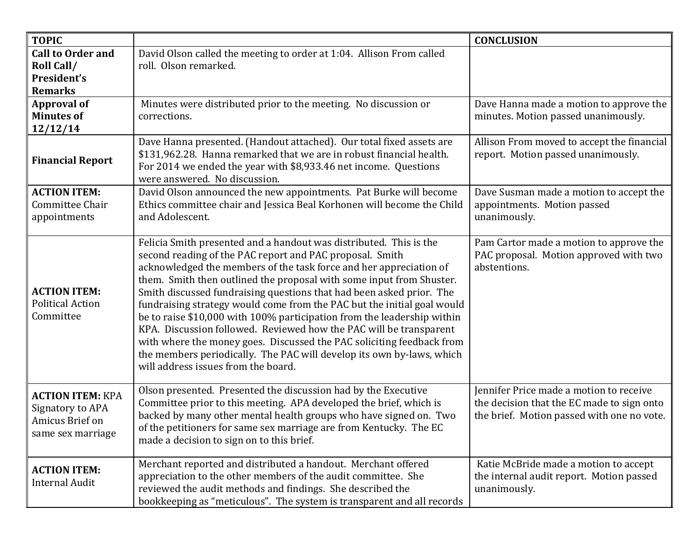| <b>TOPIC</b>                                                                        |                                                                                                                                                                                                                                                                                                                                                                                                                                                                                                                                                                                                                                                                                                                                                                           | <b>CONCLUSION</b>                                                                                                                   |
|-------------------------------------------------------------------------------------|---------------------------------------------------------------------------------------------------------------------------------------------------------------------------------------------------------------------------------------------------------------------------------------------------------------------------------------------------------------------------------------------------------------------------------------------------------------------------------------------------------------------------------------------------------------------------------------------------------------------------------------------------------------------------------------------------------------------------------------------------------------------------|-------------------------------------------------------------------------------------------------------------------------------------|
| <b>Call to Order and</b>                                                            | David Olson called the meeting to order at 1:04. Allison From called                                                                                                                                                                                                                                                                                                                                                                                                                                                                                                                                                                                                                                                                                                      |                                                                                                                                     |
| <b>Roll Call/</b>                                                                   | roll. Olson remarked.                                                                                                                                                                                                                                                                                                                                                                                                                                                                                                                                                                                                                                                                                                                                                     |                                                                                                                                     |
| President's                                                                         |                                                                                                                                                                                                                                                                                                                                                                                                                                                                                                                                                                                                                                                                                                                                                                           |                                                                                                                                     |
| <b>Remarks</b>                                                                      |                                                                                                                                                                                                                                                                                                                                                                                                                                                                                                                                                                                                                                                                                                                                                                           |                                                                                                                                     |
| <b>Approval of</b>                                                                  | Minutes were distributed prior to the meeting. No discussion or                                                                                                                                                                                                                                                                                                                                                                                                                                                                                                                                                                                                                                                                                                           | Dave Hanna made a motion to approve the                                                                                             |
| <b>Minutes of</b>                                                                   | corrections.                                                                                                                                                                                                                                                                                                                                                                                                                                                                                                                                                                                                                                                                                                                                                              | minutes. Motion passed unanimously.                                                                                                 |
| 12/12/14                                                                            |                                                                                                                                                                                                                                                                                                                                                                                                                                                                                                                                                                                                                                                                                                                                                                           |                                                                                                                                     |
| <b>Financial Report</b>                                                             | Dave Hanna presented. (Handout attached). Our total fixed assets are<br>\$131,962.28. Hanna remarked that we are in robust financial health.<br>For 2014 we ended the year with \$8,933.46 net income. Questions<br>were answered. No discussion.                                                                                                                                                                                                                                                                                                                                                                                                                                                                                                                         | Allison From moved to accept the financial<br>report. Motion passed unanimously.                                                    |
| <b>ACTION ITEM:</b>                                                                 | David Olson announced the new appointments. Pat Burke will become                                                                                                                                                                                                                                                                                                                                                                                                                                                                                                                                                                                                                                                                                                         | Dave Susman made a motion to accept the                                                                                             |
| Committee Chair                                                                     | Ethics committee chair and Jessica Beal Korhonen will become the Child                                                                                                                                                                                                                                                                                                                                                                                                                                                                                                                                                                                                                                                                                                    | appointments. Motion passed                                                                                                         |
| appointments                                                                        | and Adolescent.                                                                                                                                                                                                                                                                                                                                                                                                                                                                                                                                                                                                                                                                                                                                                           | unanimously.                                                                                                                        |
| <b>ACTION ITEM:</b><br><b>Political Action</b><br>Committee                         | Felicia Smith presented and a handout was distributed. This is the<br>second reading of the PAC report and PAC proposal. Smith<br>acknowledged the members of the task force and her appreciation of<br>them. Smith then outlined the proposal with some input from Shuster.<br>Smith discussed fundraising questions that had been asked prior. The<br>fundraising strategy would come from the PAC but the initial goal would<br>be to raise \$10,000 with 100% participation from the leadership within<br>KPA. Discussion followed. Reviewed how the PAC will be transparent<br>with where the money goes. Discussed the PAC soliciting feedback from<br>the members periodically. The PAC will develop its own by-laws, which<br>will address issues from the board. | Pam Cartor made a motion to approve the<br>PAC proposal. Motion approved with two<br>abstentions.                                   |
| <b>ACTION ITEM: KPA</b><br>Signatory to APA<br>Amicus Brief on<br>same sex marriage | Olson presented. Presented the discussion had by the Executive<br>Committee prior to this meeting. APA developed the brief, which is<br>backed by many other mental health groups who have signed on. Two<br>of the petitioners for same sex marriage are from Kentucky. The EC<br>made a decision to sign on to this brief.                                                                                                                                                                                                                                                                                                                                                                                                                                              | Jennifer Price made a motion to receive<br>the decision that the EC made to sign onto<br>the brief. Motion passed with one no vote. |
| <b>ACTION ITEM:</b><br>Internal Audit                                               | Merchant reported and distributed a handout. Merchant offered<br>appreciation to the other members of the audit committee. She<br>reviewed the audit methods and findings. She described the<br>bookkeeping as "meticulous". The system is transparent and all records                                                                                                                                                                                                                                                                                                                                                                                                                                                                                                    | Katie McBride made a motion to accept<br>the internal audit report. Motion passed<br>unanimously.                                   |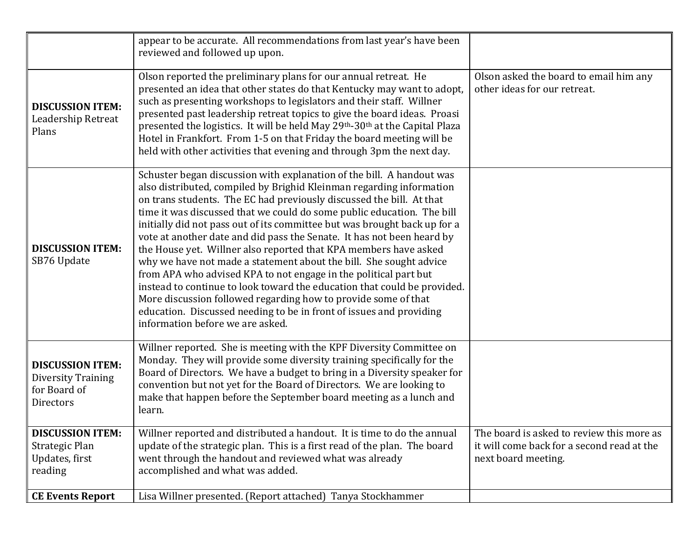|                                                                                   | appear to be accurate. All recommendations from last year's have been<br>reviewed and followed up upon.                                                                                                                                                                                                                                                                                                                                                                                                                                                                                                                                                                                                                                                                                                                                                                                                                       |                                                                                                                |
|-----------------------------------------------------------------------------------|-------------------------------------------------------------------------------------------------------------------------------------------------------------------------------------------------------------------------------------------------------------------------------------------------------------------------------------------------------------------------------------------------------------------------------------------------------------------------------------------------------------------------------------------------------------------------------------------------------------------------------------------------------------------------------------------------------------------------------------------------------------------------------------------------------------------------------------------------------------------------------------------------------------------------------|----------------------------------------------------------------------------------------------------------------|
| <b>DISCUSSION ITEM:</b><br>Leadership Retreat<br>Plans                            | Olson reported the preliminary plans for our annual retreat. He<br>presented an idea that other states do that Kentucky may want to adopt,<br>such as presenting workshops to legislators and their staff. Willner<br>presented past leadership retreat topics to give the board ideas. Proasi<br>presented the logistics. It will be held May 29th-30th at the Capital Plaza<br>Hotel in Frankfort. From 1-5 on that Friday the board meeting will be<br>held with other activities that evening and through 3pm the next day.                                                                                                                                                                                                                                                                                                                                                                                               | Olson asked the board to email him any<br>other ideas for our retreat.                                         |
| <b>DISCUSSION ITEM:</b><br>SB76 Update                                            | Schuster began discussion with explanation of the bill. A handout was<br>also distributed, compiled by Brighid Kleinman regarding information<br>on trans students. The EC had previously discussed the bill. At that<br>time it was discussed that we could do some public education. The bill<br>initially did not pass out of its committee but was brought back up for a<br>vote at another date and did pass the Senate. It has not been heard by<br>the House yet. Willner also reported that KPA members have asked<br>why we have not made a statement about the bill. She sought advice<br>from APA who advised KPA to not engage in the political part but<br>instead to continue to look toward the education that could be provided.<br>More discussion followed regarding how to provide some of that<br>education. Discussed needing to be in front of issues and providing<br>information before we are asked. |                                                                                                                |
| <b>DISCUSSION ITEM:</b><br>Diversity Training<br>for Board of<br><b>Directors</b> | Willner reported. She is meeting with the KPF Diversity Committee on<br>Monday. They will provide some diversity training specifically for the<br>Board of Directors. We have a budget to bring in a Diversity speaker for<br>convention but not yet for the Board of Directors. We are looking to<br>make that happen before the September board meeting as a lunch and<br>learn.                                                                                                                                                                                                                                                                                                                                                                                                                                                                                                                                            |                                                                                                                |
| <b>DISCUSSION ITEM:</b><br>Strategic Plan<br>Updates, first<br>reading            | Willner reported and distributed a handout. It is time to do the annual<br>update of the strategic plan. This is a first read of the plan. The board<br>went through the handout and reviewed what was already<br>accomplished and what was added.                                                                                                                                                                                                                                                                                                                                                                                                                                                                                                                                                                                                                                                                            | The board is asked to review this more as<br>it will come back for a second read at the<br>next board meeting. |
| <b>CE Events Report</b>                                                           | Lisa Willner presented. (Report attached) Tanya Stockhammer                                                                                                                                                                                                                                                                                                                                                                                                                                                                                                                                                                                                                                                                                                                                                                                                                                                                   |                                                                                                                |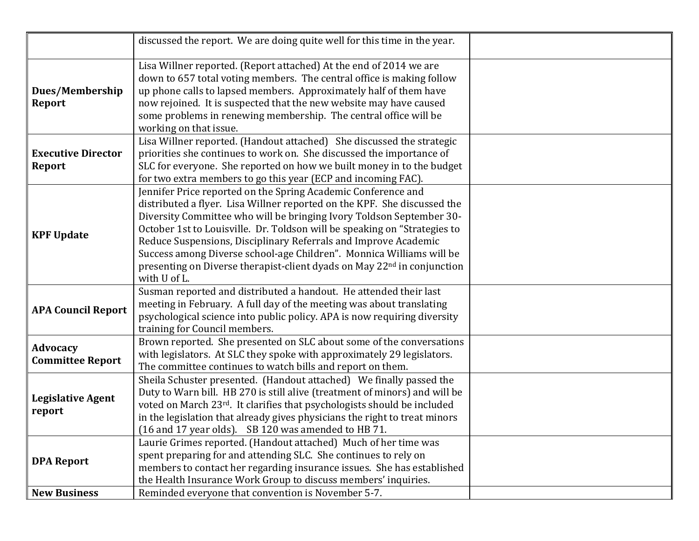|                                            | discussed the report. We are doing quite well for this time in the year.                                                                                                                                                                                                                                                                                                                                                                                                                                                                         |  |
|--------------------------------------------|--------------------------------------------------------------------------------------------------------------------------------------------------------------------------------------------------------------------------------------------------------------------------------------------------------------------------------------------------------------------------------------------------------------------------------------------------------------------------------------------------------------------------------------------------|--|
| Dues/Membership<br><b>Report</b>           | Lisa Willner reported. (Report attached) At the end of 2014 we are<br>down to 657 total voting members. The central office is making follow<br>up phone calls to lapsed members. Approximately half of them have<br>now rejoined. It is suspected that the new website may have caused<br>some problems in renewing membership. The central office will be<br>working on that issue.                                                                                                                                                             |  |
| <b>Executive Director</b><br>Report        | Lisa Willner reported. (Handout attached) She discussed the strategic<br>priorities she continues to work on. She discussed the importance of<br>SLC for everyone. She reported on how we built money in to the budget<br>for two extra members to go this year (ECP and incoming FAC).                                                                                                                                                                                                                                                          |  |
| <b>KPF Update</b>                          | Jennifer Price reported on the Spring Academic Conference and<br>distributed a flyer. Lisa Willner reported on the KPF. She discussed the<br>Diversity Committee who will be bringing Ivory Toldson September 30-<br>October 1st to Louisville. Dr. Toldson will be speaking on "Strategies to<br>Reduce Suspensions, Disciplinary Referrals and Improve Academic<br>Success among Diverse school-age Children". Monnica Williams will be<br>presenting on Diverse therapist-client dyads on May 22 <sup>nd</sup> in conjunction<br>with U of L. |  |
| <b>APA Council Report</b>                  | Susman reported and distributed a handout. He attended their last<br>meeting in February. A full day of the meeting was about translating<br>psychological science into public policy. APA is now requiring diversity<br>training for Council members.                                                                                                                                                                                                                                                                                           |  |
| <b>Advocacy</b><br><b>Committee Report</b> | Brown reported. She presented on SLC about some of the conversations<br>with legislators. At SLC they spoke with approximately 29 legislators.<br>The committee continues to watch bills and report on them.                                                                                                                                                                                                                                                                                                                                     |  |
| <b>Legislative Agent</b><br>report         | Sheila Schuster presented. (Handout attached) We finally passed the<br>Duty to Warn bill. HB 270 is still alive (treatment of minors) and will be<br>voted on March 23rd. It clarifies that psychologists should be included<br>in the legislation that already gives physicians the right to treat minors<br>(16 and 17 year olds). SB 120 was amended to HB 71.                                                                                                                                                                                |  |
| <b>DPA Report</b><br><b>New Business</b>   | Laurie Grimes reported. (Handout attached) Much of her time was<br>spent preparing for and attending SLC. She continues to rely on<br>members to contact her regarding insurance issues. She has established<br>the Health Insurance Work Group to discuss members' inquiries.<br>Reminded everyone that convention is November 5-7.                                                                                                                                                                                                             |  |